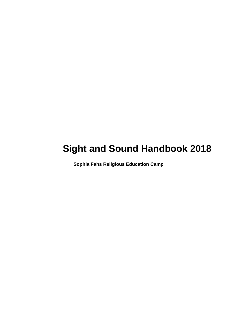# **Sight and Sound Handbook 2018**

 **Sophia Fahs Religious Education Camp**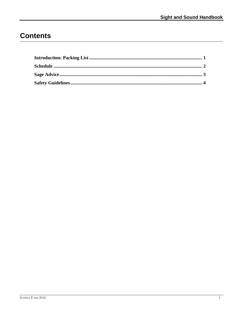## **Contents**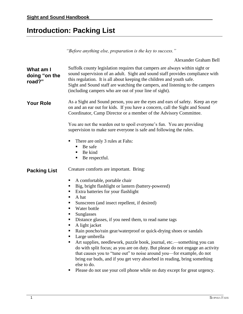## <span id="page-4-0"></span>**Introduction: Packing List**

*"Before anything else, preparation is the key to success."*

Alexander Graham Bell

| What am I<br>doing "on the<br>road?" | Suffolk county legislation requires that campers are always within sight or<br>sound supervision of an adult. Sight and sound staff provides compliance with<br>this regulation. It is all about keeping the children and youth safe.<br>Sight and Sound staff are watching the campers, and listening to the campers<br>(including campers who are out of your line of sight).                                                                                                                                                                                                                                                                                                                                                                                                                                                                       |
|--------------------------------------|-------------------------------------------------------------------------------------------------------------------------------------------------------------------------------------------------------------------------------------------------------------------------------------------------------------------------------------------------------------------------------------------------------------------------------------------------------------------------------------------------------------------------------------------------------------------------------------------------------------------------------------------------------------------------------------------------------------------------------------------------------------------------------------------------------------------------------------------------------|
| <b>Your Role</b>                     | As a Sight and Sound person, you are the eyes and ears of safety. Keep an eye<br>on and an ear out for kids. If you have a concern, call the Sight and Sound<br>Coordinator, Camp Director or a member of the Advisory Committee.<br>You are not the warden out to spoil everyone's fun. You are providing<br>supervision to make sure everyone is safe and following the rules.                                                                                                                                                                                                                                                                                                                                                                                                                                                                      |
|                                      | There are only 3 rules at Fahs:<br>п<br>Be safe<br>Be kind<br>٠<br>Be respectful.<br>п                                                                                                                                                                                                                                                                                                                                                                                                                                                                                                                                                                                                                                                                                                                                                                |
| <b>Packing List</b>                  | Creature comforts are important. Bring:<br>A comfortable, portable chair<br>Big, bright flashlight or lantern (battery-powered)<br>Extra batteries for your flashlight<br>A hat<br>Sunscreen (and insect repellent, if desired)<br>Water bottle<br>Sunglasses<br>п<br>Distance glasses, if you need them, to read name tags<br>A light jacket<br>Rain poncho/rain gear/waterproof or quick-drying shoes or sandals<br>Large umbrella<br>Art supplies, needlework, puzzle book, journal, etc.—something you can<br>do with split focus; as you are on duty. But please do not engage an activity<br>that causes you to "tune out" to noise around you-for example, do not<br>bring ear buds, and if you get very absorbed in reading, bring something<br>else to do.<br>Please do not use your cell phone while on duty except for great urgency.<br>п |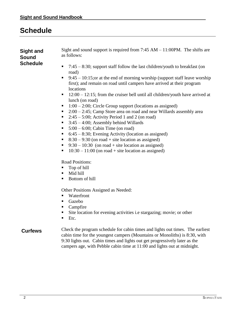## <span id="page-5-0"></span>**Schedule**

| <b>Sight and</b><br><b>Sound</b><br><b>Schedule</b> | Sight and sound support is required from $7:45 AM - 11:00PM$ . The shifts are<br>as follows:<br>$7:45 - 8:30$ ; support staff follow the last children/youth to breakfast (on<br>road)<br>$9:45 - 10:15$ ; or at the end of morning worship (support staff leave worship<br>п<br>first); and remain on road until campers have arrived at their program<br>locations<br>$12:00 - 12:15$ ; from the cruiser bell until all children/youth have arrived at<br>п<br>lunch (on road)<br>$1:00 - 2:00$ ; Circle Group support (locations as assigned)<br>$2:00 - 2:45$ ; Camp Store area on road and near Willards assembly area<br>$2:45-5:00$ ; Activity Period 1 and 2 (on road)<br>п<br>$3:45 - 4:00$ ; Assembly behind Willards<br>п<br>$5:00 - 6:00$ ; Cabin Time (on road)<br>$6:45 - 8:30$ ; Evening Activity (location as assigned)<br>$8:30 - 9:30$ (on road + site location as assigned)<br>$9:30 - 10:30$ (on road + site location as assigned)<br>$10:30 - 11:00$ (on road + site location as assigned)<br>Road Positions:<br>Top of hill<br>Mid hill<br>Bottom of hill<br>Other Positions Assigned as Needed:<br>Waterfront<br>Gazebo<br>п<br>Campfire<br>Site location for evening activities i.e stargazing; movie; or other |
|-----------------------------------------------------|-----------------------------------------------------------------------------------------------------------------------------------------------------------------------------------------------------------------------------------------------------------------------------------------------------------------------------------------------------------------------------------------------------------------------------------------------------------------------------------------------------------------------------------------------------------------------------------------------------------------------------------------------------------------------------------------------------------------------------------------------------------------------------------------------------------------------------------------------------------------------------------------------------------------------------------------------------------------------------------------------------------------------------------------------------------------------------------------------------------------------------------------------------------------------------------------------------------------------------------------|
| <b>Curfews</b>                                      | Etc.<br>Check the program schedule for cabin times and lights out times. The earliest<br>cabin time for the youngest campers (Mountains or Monoliths) is 8:30, with<br>9:30 lights out. Cabin times and lights out get progressively later as the<br>campers age, with Pebble cabin time at 11:00 and lights out at midnight.                                                                                                                                                                                                                                                                                                                                                                                                                                                                                                                                                                                                                                                                                                                                                                                                                                                                                                           |
|                                                     |                                                                                                                                                                                                                                                                                                                                                                                                                                                                                                                                                                                                                                                                                                                                                                                                                                                                                                                                                                                                                                                                                                                                                                                                                                         |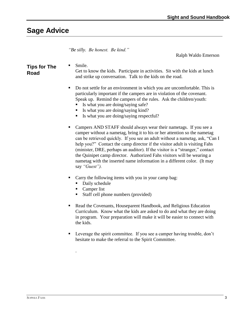### <span id="page-6-0"></span>**Sage Advice**

*"Be silly. Be honest. Be kind."*

Ralph Waldo Emerson

#### **Tips for The Road**

Smile.

Get to know the kids. Participate in activities. Sit with the kids at lunch and strike up conversation. Talk to the kids on the road.

- Do not settle for an environment in which you are uncomfortable. This is particularly important if the campers are in violation of the covenant. Speak up. Remind the campers of the rules. Ask the children/youth:
	- Is what you are doing/saying safe?
	- Is what you are doing/saying kind?
	- Is what you are doing/saying respectful?
- Campers AND STAFF should always wear their nametags. If you see a camper without a nametag, bring it to his or her attention so the nametag can be retrieved quickly. If you see an adult without a nametag, ask, "Can I help you?" Contact the camp director if the visitor adult is visiting Fahs (minister, DRE, perhaps an auditor). If the visitor is a "stranger," contact the Quinipet camp director. Authorized Fahs visitors will be wearing a nametag with the inserted name information in a different color. (It may say *"Guest").*
- Carry the following items with you in your camp bag:
	- Daily schedule
	- Camper list

.

- Staff cell phone numbers (provided)
- Read the Covenants, Houseparent Handbook, and Religious Education Curriculum. Know what the kids are asked to do and what they are doing in program. Your preparation will make it will be easier to connect with the kids.
- Leverage the spirit committee. If you see a camper having trouble, don't hesitate to make the referral to the Spirit Committee.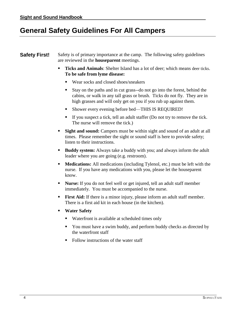### <span id="page-7-0"></span>**General Safety Guidelines For All Campers**

#### **Safety First!** Safety is of primary importance at the camp. The following safety guidelines are reviewed in the **houseparent** meetings.

- Ticks and Animals: Shelter Island has a lot of deer; which means deer ticks. **To be safe from lyme disease:**
	- Wear socks and closed shoes/sneakers
	- Stay on the paths and in cut grass--do not go into the forest, behind the cabins, or walk in any tall grass or brush. Ticks do not fly. They are in high grasses and will only get on you if you rub up against them.
	- Shower every evening before bed—THIS IS REQUIRED!
	- If you suspect a tick, tell an adult staffer (Do not try to remove the tick. The nurse will remove the tick.)
- **Sight and sound:** Campers must be within sight and sound of an adult at all times. Please remember the sight or sound staff is here to provide safety; listen to their instructions.
- **Buddy system:** Always take a buddy with you; and always inform the adult leader where you are going (e.g. restroom).
- **Medications:** All medications (including Tylenol, etc.) must be left with the nurse. If you have any medications with you, please let the houseparent know.
- Nurse: If you do not feel well or get injured, tell an adult staff member immediately. You must be accompanied to the nurse.
- **First Aid:** If there is a minor injury, please inform an adult staff member. There is a first aid kit in each house (in the kitchen).
- **Water Safety**
	- Waterfront is available at scheduled times only
	- You must have a swim buddy, and perform buddy checks as directed by the waterfront staff
	- Follow instructions of the water staff